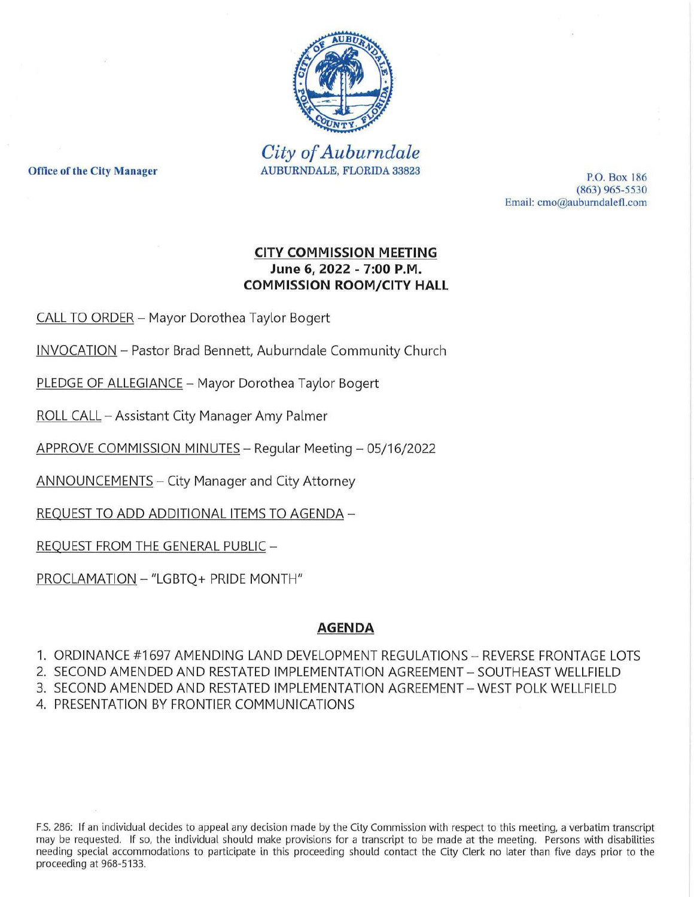

*City of Auburndale* Office of the City Manager **Manager** AUBURNDALE, FLORIDA 33823 **P.O. Box 186** 

 $(863)$  965-5530 Email: cmo@auburndalefl.com

# CITY COMMISSION MEETING June 6, 2022 - 7:00 P.M. COMMISSION ROOM/CITY **HALL**

CALL TO ORDER - Mayor Dorothea Taylor Bogert

INVOCATION Pastor Brad Bennett, Auburndale Community Church

PLEDGE OF ALLEGIANCE - Mayor Dorothea Taylor Bogert

ROLL CALL Assistant City Manager Amy Palmer

APPROVE COMMISSION MINUTES - Regular Meeting - 05/16/2022

ANNOUNCEMENTS – City Manager and City Attorney

REQUEST TO ADD ADDITIONAL ITEMS TO AGENDA-

REQUEST FROM THE GENERAL PUBLlC

PROCLAMATION - "LGBTQ+ PRIDE MONTH"

#### AGENDA

1. ORDINANCE #1697 AMENDING LAND DEVELOPMENT REGULATIONS - REVERSE FRONTAGE LOTS

2. SECOND AMENDED AND RESTATED IMPLEMENTATION AGREEMENT SOUTHEAST WELLFIELD

3. SECOND AMENDED AND RESTATED IMPLEMENTATION AGREEMENT WEST POLK WELLFIELD

4. PRESENTATION BY FRONTIER COMMUNICATIONS

F.s. 286: If an individual decides to appeal any decision made by the City Commission with respect to this meeting, a verbatim transcript may be requested. If so, the individual should make provisions for a transcript to be made at the meeting. Persons with disabilities needing special accommodations to participate in this proceeding should contact the City Clerk no later than five days prior to the proceeding at 968-5133.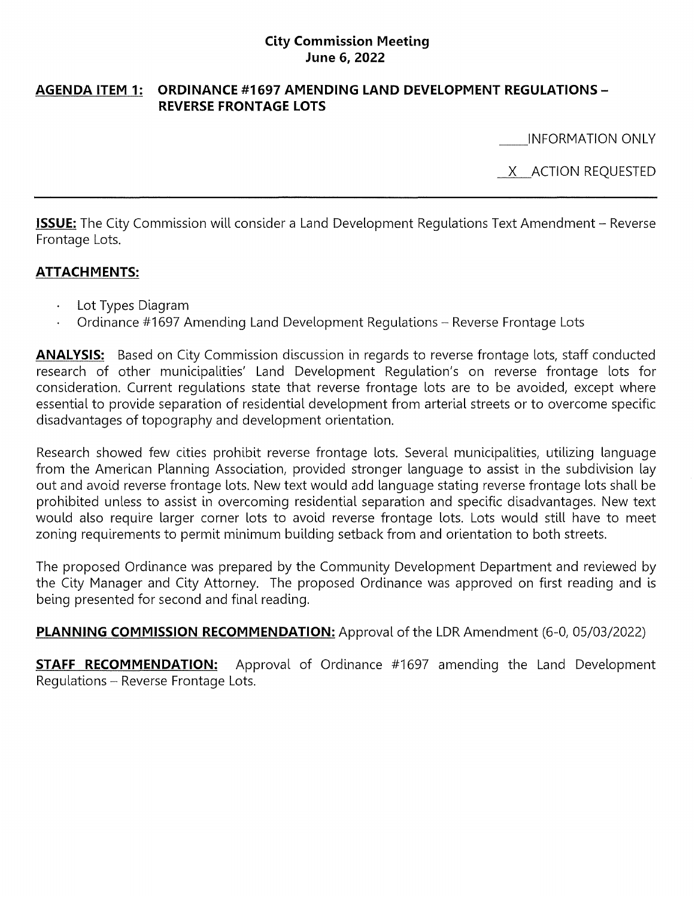#### **City Commission Meeting June 6,2022**

### **AGENDA ITEM 1: ORDINANCE #1697 AMENDING LAND DEVELOPMENT REGULATIONS-**REVERSE FRONTAGE LOTS

INFORMATION ONLY

X ACTION REQUESTED

**ISSUE:** The City Commission will consider a Land Development Regulations Text Amendment – Reverse Frontage Lots.

# **ATTACHMENTS:**

- Lot Types Diagram
- Ordinance #1697 Amending Land Development Regulations Reverse Frontage Lots  $\ddot{\phantom{1}}$

**ANALYSIS:** Based on City Commission discussion in regards to reverse frontage lots, staff conducted research of other municipalities' Land Development Regulation's on reverse frontage lots for consideration. Current regulations state that reverse frontage lots are to be avoided, except where essential to provide separation of residential development from arterial streets or to overcome specific disadvantages of topography and development orientation.

Research showed few cities prohibit reverse frontage lots. Several municipalities, utilizing language from the American Planning Association, provided stronger language to assist in the subdivision lay out and avoid reverse frontage lots. New text would add language stating reverse frontage lots shall be prohibited unless to assist in overcoming residential separation and specific disadvantages. New text would also require larger corner lots to avoid reverse frontage lots. Lots would still have to meet zoning requirements to permit minimum building setback from and orientation to both streets.

The proposed Ordinance was prepared by the Community Development Department and reviewed by the City Manager and City Attorney. The proposed Ordinance was approved on first reading and is being presented for second and final reading.

**PLANNING COMMISSION RECOMMENDATION:** Approval of the LDR Amendment (6-0, 05/03/2022)

**STAFF RECOMMENDATION:** Approval of Ordinance #1697 amending the Land Development Regulations - Reverse Frontage Lots.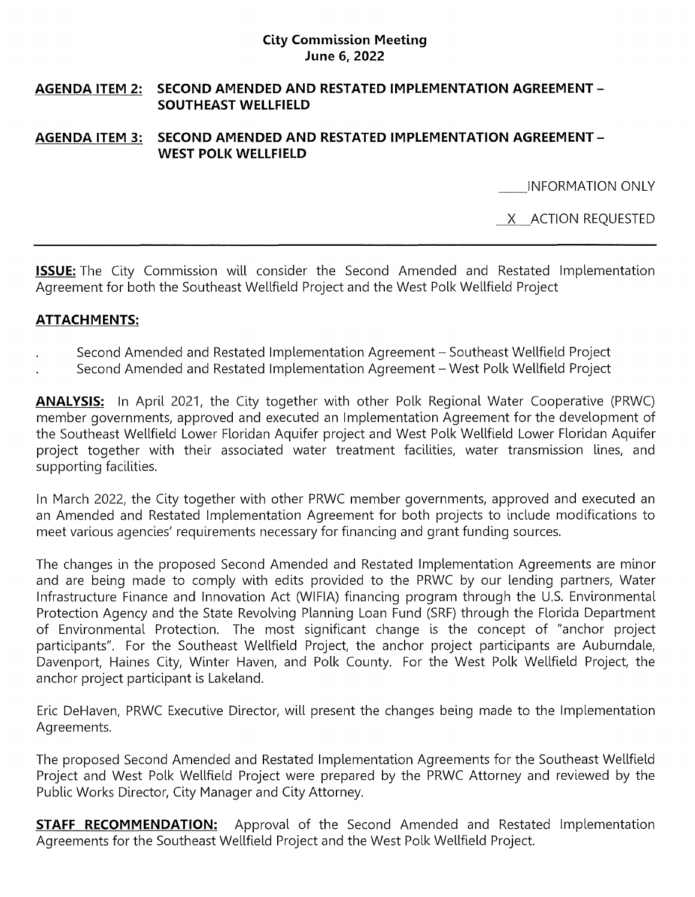### **City Commission Meeting June 6, 2022**

## **AGENDA ITEM 2: SECOND AMENDED AND RESTATED IMPLEMENTATION AGREEMENT-SOUTHEAST WELLFIELD**

### **AGENDA ITEM 3: SECOND AMENDED AND RESTATED IMPLEMENTATION AGREEMENT-WEST POLK WELLFIELD**

INFORMATION ONLY

X ACTION REQUESTED

**ISSUE:** The City Commission will consider the Second Amended and Restated Implementation Agreement for both the Southeast Wellfield Project and the West Polk Wellfield Project

## **ATTACHMENTS:**

- Second Amended and Restated Implementation Agreement Southeast Wellfield Project
- Second Amended and Restated Implementation Agreement West Polk Wellfield Project

**ANALYSIS:** In April 2021, the City together with other Polk Regional Water Cooperative (PRWC) member governments, approved and executed an Implementation Agreement for the development of the Southeast Wellfield Lower Floridan Aquifer project and West Polk Wellfield Lower Floridan Aquifer project together with their associated water treatment facilities, water transmission lines, and supporting facilities.

In March 2022, the City together with other PRWC member governments, approved and executed an an Amended and Restated Implementation Agreement for both projects to include modifications to meet various agencies' requirements necessary for financing and grant funding sources.

The changes in the proposed Second Amended and Restated Implementation Agreements are minor and are being made to comply with edits provided to the PRWC by our lending partners, Water Infrastructure Finance and Innovation Act (WIFIA) financing program through the U.s. Environmental Protection Agency and the State Revolving Planning Loan Fund (SRF) through the Florida Department of Environmental Protection. The most significant change is the concept of "anchor project participants". For the Southeast Wellfield Project, the anchor project participants are Auburndale, Davenport, Haines City, Winter Haven, and Polk County. For the West Polk Wellfield Project, the anchor project participant is Lakeland.

Eric DeHaven, PRWC Executive Director, will present the changes being made to the Implementation Agreements.

The proposed Second Amended and Restated Implementation Agreements for the Southeast Wellfield Project and West Polk Wellfield Project were prepared by the PRWC Attorney and reviewed by the Public Works Director, City Manager and City Attorney.

**STAFF RECOMMENDATION:** Approval of the Second Amended and Restated Implementation Agreements for the Southeast Wellfield Project and the West Polk Wellfield Project.